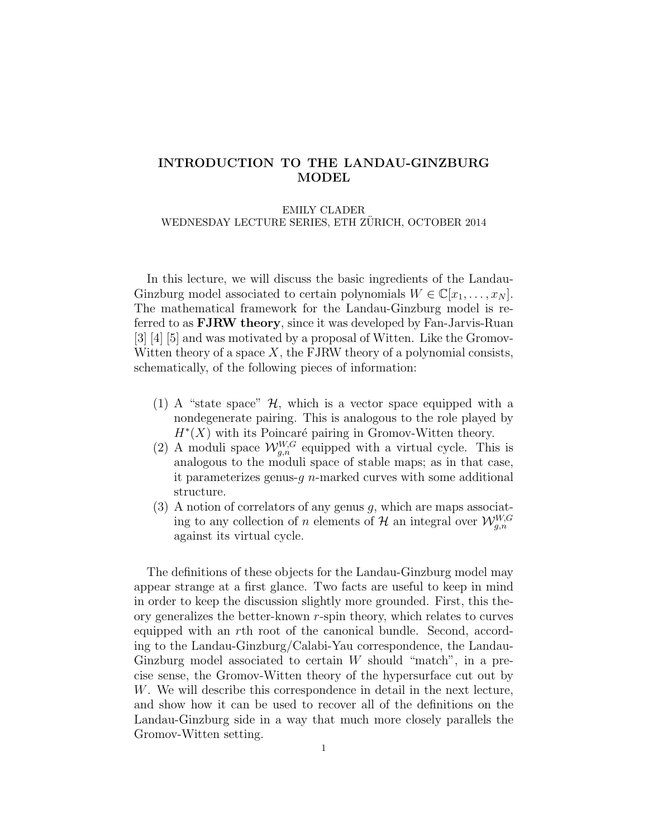# INTRODUCTION TO THE LANDAU-GINZBURG MODEL

#### EMILY CLADER

WEDNESDAY LECTURE SERIES, ETH ZÜRICH, OCTOBER 2014

In this lecture, we will discuss the basic ingredients of the Landau-Ginzburg model associated to certain polynomials  $W \in \mathbb{C}[x_1, \ldots, x_N].$ The mathematical framework for the Landau-Ginzburg model is referred to as FJRW theory, since it was developed by Fan-Jarvis-Ruan [3] [4] [5] and was motivated by a proposal of Witten. Like the Gromov-Witten theory of a space  $X$ , the FJRW theory of a polynomial consists, schematically, of the following pieces of information:

- (1) A "state space"  $\mathcal{H}$ , which is a vector space equipped with a nondegenerate pairing. This is analogous to the role played by  $H^*(X)$  with its Poincaré pairing in Gromov-Witten theory.
- (2) A moduli space  $\mathcal{W}_{g,n}^{W,G}$  equipped with a virtual cycle. This is analogous to the moduli space of stable maps; as in that case, it parameterizes genus-q  $n$ -marked curves with some additional structure.
- $(3)$  A notion of correlators of any genus g, which are maps associating to any collection of n elements of  $\mathcal{H}$  an integral over  $\mathcal{W}_{g,n}^{W,G}$ against its virtual cycle.

The definitions of these objects for the Landau-Ginzburg model may appear strange at a first glance. Two facts are useful to keep in mind in order to keep the discussion slightly more grounded. First, this theory generalizes the better-known  $r$ -spin theory, which relates to curves equipped with an rth root of the canonical bundle. Second, according to the Landau-Ginzburg/Calabi-Yau correspondence, the Landau-Ginzburg model associated to certain  $W$  should "match", in a precise sense, the Gromov-Witten theory of the hypersurface cut out by W. We will describe this correspondence in detail in the next lecture, and show how it can be used to recover all of the definitions on the Landau-Ginzburg side in a way that much more closely parallels the Gromov-Witten setting.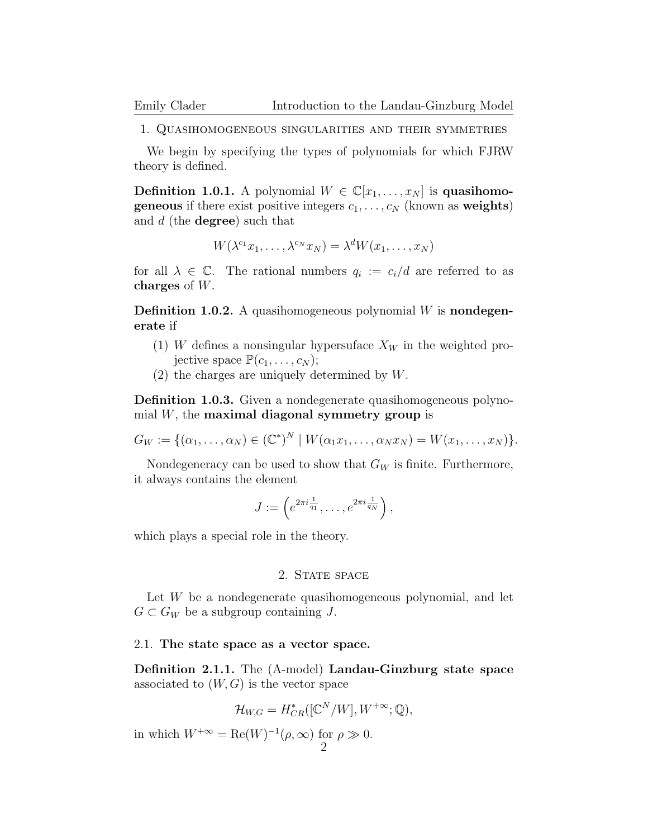1. Quasihomogeneous singularities and their symmetries

We begin by specifying the types of polynomials for which FJRW theory is defined.

**Definition 1.0.1.** A polynomial  $W \in \mathbb{C}[x_1, \ldots, x_N]$  is **quasihomogeneous** if there exist positive integers  $c_1, \ldots, c_N$  (known as weights) and  $d$  (the **degree**) such that

$$
W(\lambda^{c_1}x_1,\ldots,\lambda^{c_N}x_N)=\lambda^d W(x_1,\ldots,x_N)
$$

for all  $\lambda \in \mathbb{C}$ . The rational numbers  $q_i := c_i/d$  are referred to as charges of W.

**Definition 1.0.2.** A quasihomogeneous polynomial  $W$  is **nondegen**erate if

- (1) W defines a nonsingular hypersuface  $X_W$  in the weighted projective space  $\mathbb{P}(c_1,\ldots,c_N);$
- (2) the charges are uniquely determined by W.

Definition 1.0.3. Given a nondegenerate quasihomogeneous polynomial  $W$ , the maximal diagonal symmetry group is

 $G_W := \{(\alpha_1, ..., \alpha_N) \in (\mathbb{C}^*)^N \mid W(\alpha_1 x_1, ..., \alpha_N x_N) = W(x_1, ..., x_N)\}.$ 

Nondegeneracy can be used to show that  $G_W$  is finite. Furthermore, it always contains the element

$$
J := \left( e^{2\pi i \frac{1}{q_1}}, \dots, e^{2\pi i \frac{1}{q_N}} \right),
$$

which plays a special role in the theory.

# 2. STATE SPACE

Let W be a nondegenerate quasihomogeneous polynomial, and let  $G \subset G_W$  be a subgroup containing J.

## 2.1. The state space as a vector space.

Definition 2.1.1. The (A-model) Landau-Ginzburg state space associated to  $(W, G)$  is the vector space

$$
\mathcal{H}_{W,G} = H^*_{CR}([\mathbb{C}^N/W], W^{+\infty}; \mathbb{Q}),
$$

in which  $W^{+\infty} = \text{Re}(W)^{-1}(\rho, \infty)$  for  $\rho \gg 0$ . 2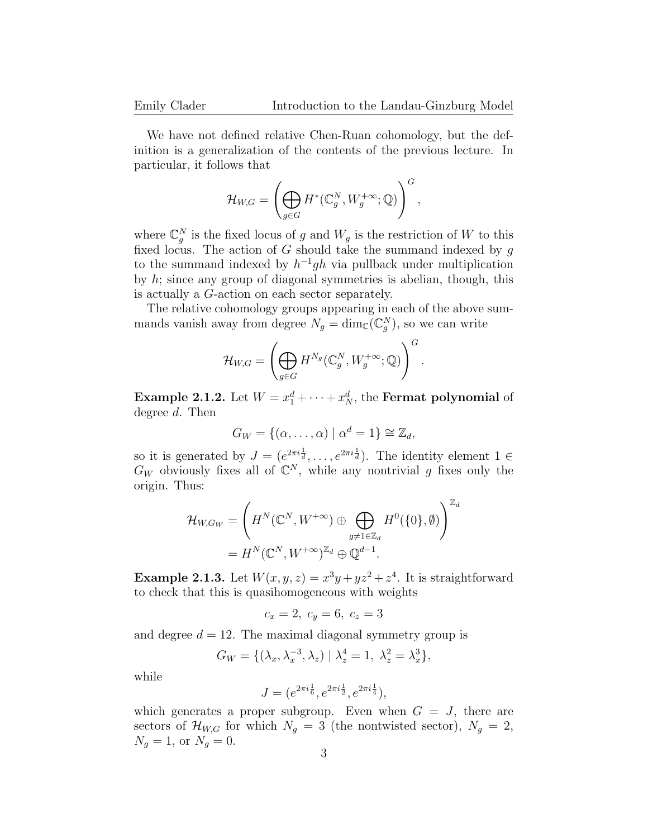We have not defined relative Chen-Ruan cohomology, but the definition is a generalization of the contents of the previous lecture. In particular, it follows that

$$
\mathcal{H}_{W,G} = \left( \bigoplus_{g \in G} H^*(\mathbb{C}_g^N,W_g^{+\infty};\mathbb{Q}) \right)^G,
$$

where  $\mathbb{C}_g^N$  is the fixed locus of g and  $W_g$  is the restriction of W to this fixed locus. The action of G should take the summand indexed by  $g$ to the summand indexed by  $h^{-1}gh$  via pullback under multiplication by h; since any group of diagonal symmetries is abelian, though, this is actually a G-action on each sector separately.

The relative cohomology groups appearing in each of the above summands vanish away from degree  $N_g = \dim_{\mathbb{C}}(\mathbb{C}_g^N)$ , so we can write

$$
\mathcal{H}_{W,G} = \left( \bigoplus_{g \in G} H^{N_g}(\mathbb{C}_g^N, W_g^{+\infty}; \mathbb{Q}) \right)^G.
$$

**Example 2.1.2.** Let  $W = x_1^d + \cdots + x_N^d$ , the **Fermat polynomial** of degree d. Then

$$
G_W = \{(\alpha, \ldots, \alpha) \mid \alpha^d = 1\} \cong \mathbb{Z}_d,
$$

so it is generated by  $J = (e^{2\pi i \frac{1}{d}}, \ldots, e^{2\pi i \frac{1}{d}})$ . The identity element  $1 \in$  $G_W$  obviously fixes all of  $\mathbb{C}^N$ , while any nontrivial g fixes only the origin. Thus:

$$
\mathcal{H}_{W,G_W} = \left( H^N(\mathbb{C}^N, W^{+\infty}) \oplus \bigoplus_{g \neq 1 \in \mathbb{Z}_d} H^0(\{0\}, \emptyset) \right)^{\mathbb{Z}_d}
$$

$$
= H^N(\mathbb{C}^N, W^{+\infty})^{\mathbb{Z}_d} \oplus \mathbb{Q}^{d-1}.
$$

**Example 2.1.3.** Let  $W(x, y, z) = x^3y + yz^2 + z^4$ . It is straightforward to check that this is quasihomogeneous with weights

$$
c_x = 2, \ c_y = 6, \ c_z = 3
$$

and degree  $d = 12$ . The maximal diagonal symmetry group is

$$
G_W = \{ (\lambda_x, \lambda_x^{-3}, \lambda_z) \mid \lambda_z^4 = 1, \lambda_z^2 = \lambda_x^3 \},
$$

while

$$
J = (e^{2\pi i \frac{1}{6}}, e^{2\pi i \frac{1}{2}}, e^{2\pi i \frac{1}{4}}),
$$

which generates a proper subgroup. Even when  $G = J$ , there are sectors of  $\mathcal{H}_{W,G}$  for which  $N_g = 3$  (the nontwisted sector),  $N_g = 2$ ,  $N_g = 1$ , or  $N_g = 0$ .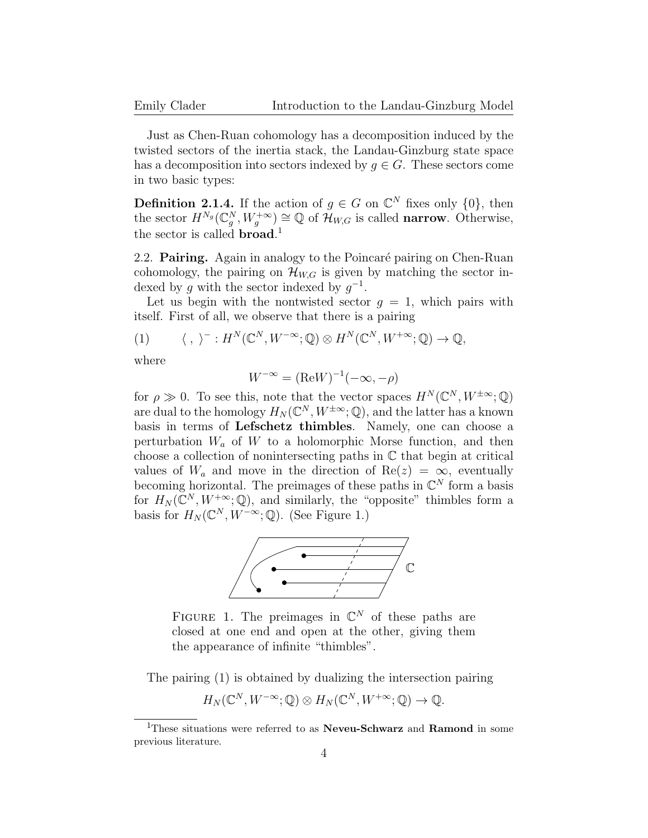Just as Chen-Ruan cohomology has a decomposition induced by the twisted sectors of the inertia stack, the Landau-Ginzburg state space has a decomposition into sectors indexed by  $g \in G$ . These sectors come in two basic types:

**Definition 2.1.4.** If the action of  $g \in G$  on  $\mathbb{C}^N$  fixes only  $\{0\}$ , then the sector  $H^{N_g}(\mathbb{C}_g^N, W_g^{+\infty}) \cong \mathbb{Q}$  of  $\mathcal{H}_{W,G}$  is called **narrow**. Otherwise, the sector is called **broad**.<sup>1</sup>

2.2. **Pairing.** Again in analogy to the Poincaré pairing on Chen-Ruan cohomology, the pairing on  $\mathcal{H}_{W,G}$  is given by matching the sector indexed by g with the sector indexed by  $g^{-1}$ .

Let us begin with the nontwisted sector  $g = 1$ , which pairs with itself. First of all, we observe that there is a pairing

(1) 
$$
\langle , \rangle^- : H^N(\mathbb{C}^N, W^{-\infty}; \mathbb{Q}) \otimes H^N(\mathbb{C}^N, W^{+\infty}; \mathbb{Q}) \to \mathbb{Q},
$$

where

$$
W^{-\infty} = (\text{Re}W)^{-1}(-\infty, -\rho)
$$

for  $\rho \gg 0$ . To see this, note that the vector spaces  $H^N(\mathbb{C}^N, W^{\pm \infty}; \mathbb{Q})$ are dual to the homology  $H_N(\mathbb{C}^N, W^{\pm \infty}; \mathbb{Q})$ , and the latter has a known basis in terms of Lefschetz thimbles. Namely, one can choose a perturbation  $W_a$  of  $W$  to a holomorphic Morse function, and then choose a collection of nonintersecting paths in C that begin at critical values of  $W_a$  and move in the direction of Re(z) =  $\infty$ , eventually becoming horizontal. The preimages of these paths in  $\mathbb{C}^N$  form a basis for  $H_N(\mathbb{C}^N, W^{+\infty}; \mathbb{Q})$ , and similarly, the "opposite" thimbles form a basis for  $H_N(\mathbb{C}^N, W^{-\infty}; \mathbb{Q})$ . (See Figure 1.)



FIGURE 1. The preimages in  $\mathbb{C}^N$  of these paths are closed at one end and open at the other, giving them the appearance of infinite "thimbles".

The pairing (1) is obtained by dualizing the intersection pairing

$$
H_N(\mathbb{C}^N, W^{-\infty}; \mathbb{Q}) \otimes H_N(\mathbb{C}^N, W^{+\infty}; \mathbb{Q}) \to \mathbb{Q}.
$$

<sup>&</sup>lt;sup>1</sup>These situations were referred to as **Neveu-Schwarz** and **Ramond** in some previous literature.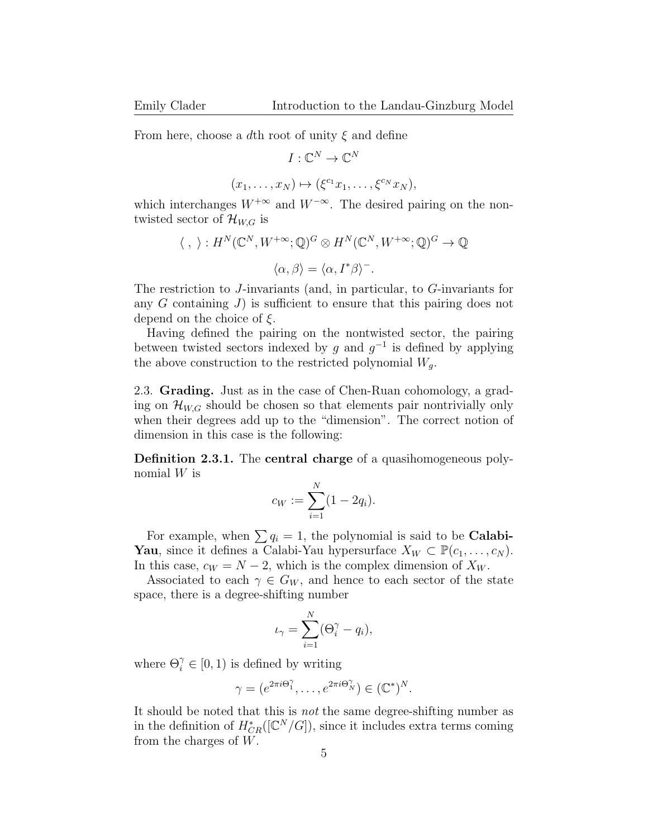From here, choose a dth root of unity  $\xi$  and define

 $(x_1)$ 

$$
I: \mathbb{C}^N \to \mathbb{C}^N
$$

$$
,\ldots,x_N) \mapsto (\xi^{c_1}x_1,\ldots,\xi^{c_N}x_N),
$$

which interchanges  $W^{+\infty}$  and  $W^{-\infty}$ . The desired pairing on the nontwisted sector of  $\mathcal{H}_{W,G}$  is

$$
\langle , \rangle : H^N(\mathbb{C}^N, W^{+\infty}; \mathbb{Q})^G \otimes H^N(\mathbb{C}^N, W^{+\infty}; \mathbb{Q})^G \to \mathbb{Q}
$$

$$
\langle \alpha, \beta \rangle = \langle \alpha, I^* \beta \rangle^-.
$$

The restriction to J-invariants (and, in particular, to G-invariants for any  $G$  containing  $J$ ) is sufficient to ensure that this pairing does not depend on the choice of  $\xi$ .

Having defined the pairing on the nontwisted sector, the pairing between twisted sectors indexed by g and  $g^{-1}$  is defined by applying the above construction to the restricted polynomial  $W_q$ .

2.3. Grading. Just as in the case of Chen-Ruan cohomology, a grading on  $\mathcal{H}_{W,G}$  should be chosen so that elements pair nontrivially only when their degrees add up to the "dimension". The correct notion of dimension in this case is the following:

Definition 2.3.1. The central charge of a quasihomogeneous polynomial W is

$$
c_W := \sum_{i=1}^N (1 - 2q_i).
$$

For example, when  $\sum q_i = 1$ , the polynomial is said to be **Calabi-Yau**, since it defines a Calabi-Yau hypersurface  $X_W \subset \mathbb{P}(c_1, \ldots, c_N)$ . In this case,  $c_W = N - 2$ , which is the complex dimension of  $X_W$ .

Associated to each  $\gamma \in G_W$ , and hence to each sector of the state space, there is a degree-shifting number

$$
\iota_{\gamma} = \sum_{i=1}^{N} (\Theta_i^{\gamma} - q_i),
$$

where  $\Theta_i^{\gamma} \in [0, 1)$  is defined by writing

$$
\gamma = (e^{2\pi i \Theta_1^{\gamma}}, \dots, e^{2\pi i \Theta_N^{\gamma}}) \in (\mathbb{C}^*)^N.
$$

It should be noted that this is not the same degree-shifting number as in the definition of  $H^*_{CR}([\mathbb{C}^N/G])$ , since it includes extra terms coming from the charges of  $W$ .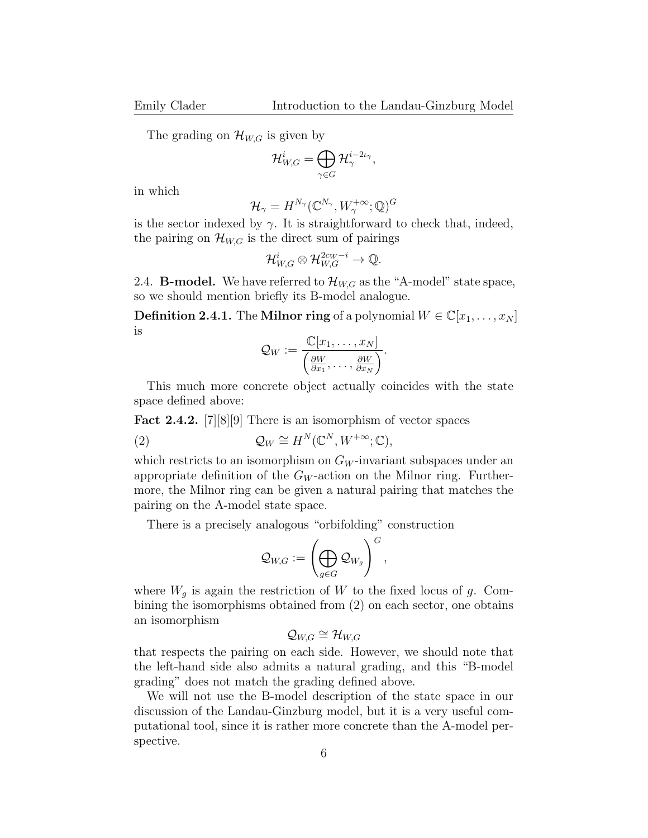The grading on  $\mathcal{H}_{W,G}$  is given by

$$
\mathcal{H}^i_{W,G} = \bigoplus_{\gamma \in G} \mathcal{H}^{i-2\iota_\gamma}_{\gamma},
$$

in which

$$
\mathcal{H}_\gamma = H^{N_\gamma}(\mathbb{C}^{N_\gamma}, W_\gamma^{+\infty}; \mathbb{Q})^G
$$

is the sector indexed by  $\gamma$ . It is straightforward to check that, indeed, the pairing on  $\mathcal{H}_{W,G}$  is the direct sum of pairings

$$
\mathcal{H}^{i}_{W,G} \otimes \mathcal{H}^{2c_W - i}_{W,G} \to \mathbb{Q}.
$$

2.4. **B-model.** We have referred to  $\mathcal{H}_{W,G}$  as the "A-model" state space, so we should mention briefly its B-model analogue.

**Definition 2.4.1.** The Milnor ring of a polynomial  $W \in \mathbb{C}[x_1, \ldots, x_N]$ is

$$
\mathcal{Q}_W := \frac{\mathbb{C}[x_1,\ldots,x_N]}{\left(\frac{\partial W}{\partial x_1},\ldots,\frac{\partial W}{\partial x_N}\right)}.
$$

This much more concrete object actually coincides with the state space defined above:

Fact 2.4.2. [7][8][9] There is an isomorphism of vector spaces

(2) 
$$
\mathcal{Q}_W \cong H^N(\mathbb{C}^N, W^{+\infty}; \mathbb{C}),
$$

which restricts to an isomorphism on  $G_W$ -invariant subspaces under an appropriate definition of the  $G_W$ -action on the Milnor ring. Furthermore, the Milnor ring can be given a natural pairing that matches the pairing on the A-model state space.

There is a precisely analogous "orbifolding" construction

$$
\mathcal{Q}_{W\!,G}:=\left(\bigoplus_{g\in G}\mathcal{Q}_{W_g}\right)^G,
$$

where  $W_g$  is again the restriction of W to the fixed locus of g. Combining the isomorphisms obtained from (2) on each sector, one obtains an isomorphism

$$
\mathcal{Q}_{W,G} \cong \mathcal{H}_{W,G}
$$

that respects the pairing on each side. However, we should note that the left-hand side also admits a natural grading, and this "B-model grading" does not match the grading defined above.

We will not use the B-model description of the state space in our discussion of the Landau-Ginzburg model, but it is a very useful computational tool, since it is rather more concrete than the A-model perspective.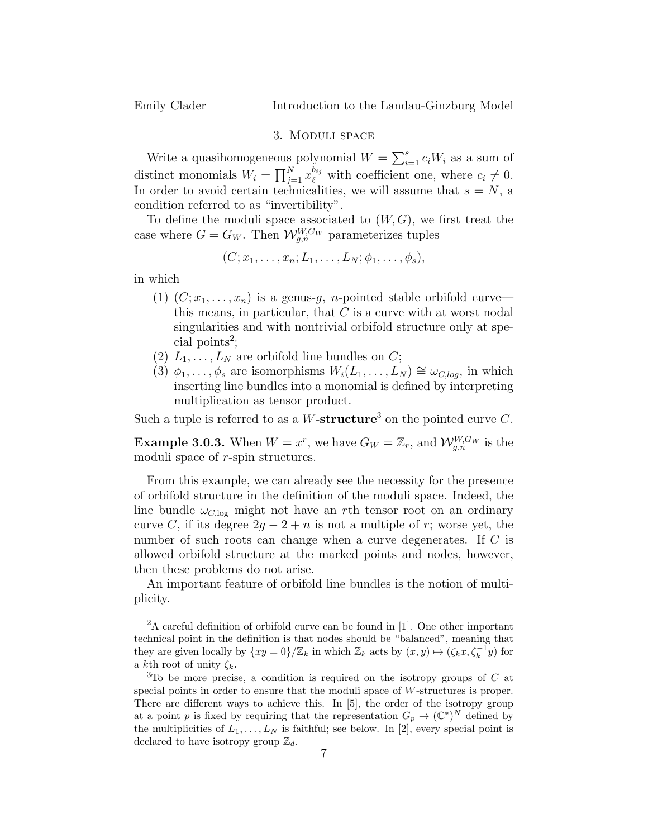#### 3. Moduli space

Write a quasihomogeneous polynomial  $W = \sum_{i=1}^{s} c_i W_i$  as a sum of distinct monomials  $W_i = \prod_{j=1}^{N} x_{\ell}^{b_{ij}}$  with coefficient one, where  $c_i \neq 0$ . In order to avoid certain technicalities, we will assume that  $s = N$ , a condition referred to as "invertibility".

To define the moduli space associated to  $(W, G)$ , we first treat the case where  $G = G_W$ . Then  $\mathcal{W}_{g,n}^{W,G_W}$  parameterizes tuples

$$
(C; x_1, \ldots, x_n; L_1, \ldots, L_N; \phi_1, \ldots, \phi_s),
$$

in which

- (1)  $(C; x_1, \ldots, x_n)$  is a genus-g, n-pointed stable orbifold curve this means, in particular, that  $C$  is a curve with at worst nodal singularities and with nontrivial orbifold structure only at spe- $\text{cial points}^2$ ;
- (2)  $L_1, \ldots, L_N$  are orbifold line bundles on C;
- (3)  $\phi_1, \ldots, \phi_s$  are isomorphisms  $W_i(L_1, \ldots, L_N) \cong \omega_{C, \log}$ , in which inserting line bundles into a monomial is defined by interpreting multiplication as tensor product.

Such a tuple is referred to as a W-structure<sup>3</sup> on the pointed curve C.

**Example 3.0.3.** When  $W = x^r$ , we have  $G_W = \mathbb{Z}_r$ , and  $\mathcal{W}_{g,n}^{W,G_W}$  is the moduli space of r-spin structures.

From this example, we can already see the necessity for the presence of orbifold structure in the definition of the moduli space. Indeed, the line bundle  $\omega_{C,\log}$  might not have an rth tensor root on an ordinary curve C, if its degree  $2g - 2 + n$  is not a multiple of r; worse yet, the number of such roots can change when a curve degenerates. If C is allowed orbifold structure at the marked points and nodes, however, then these problems do not arise.

An important feature of orbifold line bundles is the notion of multiplicity.

<sup>2</sup>A careful definition of orbifold curve can be found in [1]. One other important technical point in the definition is that nodes should be "balanced", meaning that they are given locally by  $\{xy = 0\}/\mathbb{Z}_k$  in which  $\mathbb{Z}_k$  acts by  $(x, y) \mapsto (\zeta_k x, \zeta_k^{-1} y)$  for a kth root of unity  $\zeta_k$ .

 $3$ To be more precise, a condition is required on the isotropy groups of C at special points in order to ensure that the moduli space of W-structures is proper. There are different ways to achieve this. In [5], the order of the isotropy group at a point p is fixed by requiring that the representation  $G_p \to (\mathbb{C}^*)^N$  defined by the multiplicities of  $L_1, \ldots, L_N$  is faithful; see below. In [2], every special point is declared to have isotropy group  $\mathbb{Z}_d$ .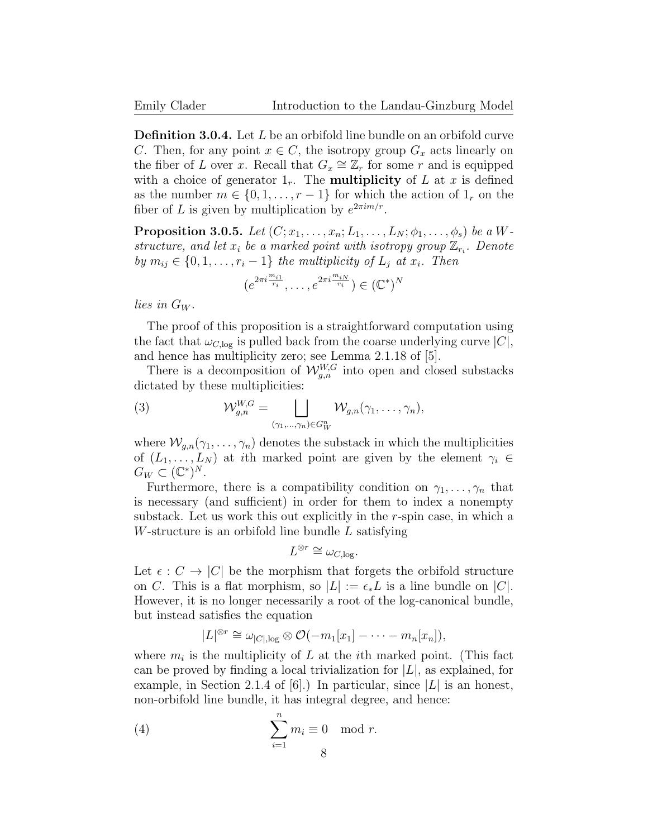Definition 3.0.4. Let L be an orbifold line bundle on an orbifold curve C. Then, for any point  $x \in C$ , the isotropy group  $G_x$  acts linearly on the fiber of L over x. Recall that  $G_x \cong \mathbb{Z}_r$  for some r and is equipped with a choice of generator  $1_r$ . The **multiplicity** of L at x is defined as the number  $m \in \{0, 1, \ldots, r-1\}$  for which the action of  $1_r$  on the fiber of L is given by multiplication by  $e^{2\pi im/r}$ .

**Proposition 3.0.5.** Let  $(C; x_1, \ldots, x_n; L_1, \ldots, L_N; \phi_1, \ldots, \phi_s)$  be a Wstructure, and let  $x_i$  be a marked point with isotropy group  $\mathbb{Z}_{r_i}$ . Denote by  $m_{ij} \in \{0, 1, \ldots, r_i - 1\}$  the multiplicity of  $L_i$  at  $x_i$ . Then

$$
(e^{2\pi i \frac{m_{i1}}{r_i}}, \ldots, e^{2\pi i \frac{m_{iN}}{r_i}}) \in (\mathbb{C}^*)^N
$$

lies in  $G_W$ .

The proof of this proposition is a straightforward computation using the fact that  $\omega_{C,\log}$  is pulled back from the coarse underlying curve  $|C|$ , and hence has multiplicity zero; see Lemma 2.1.18 of [5].

There is a decomposition of  $\mathcal{W}_{g,n}^{W,G}$  into open and closed substacks dictated by these multiplicities:

(3) 
$$
\mathcal{W}_{g,n}^{W,G} = \bigsqcup_{(\gamma_1,\ldots,\gamma_n)\in G_W^n} \mathcal{W}_{g,n}(\gamma_1,\ldots,\gamma_n),
$$

where  $\mathcal{W}_{q,n}(\gamma_1,\ldots,\gamma_n)$  denotes the substack in which the multiplicities of  $(L_1, \ldots, L_N)$  at ith marked point are given by the element  $\gamma_i \in$  $G_W \subset (\mathbb{C}^*)^N$ .

Furthermore, there is a compatibility condition on  $\gamma_1, \ldots, \gamma_n$  that is necessary (and sufficient) in order for them to index a nonempty substack. Let us work this out explicitly in the r-spin case, in which a W-structure is an orbifold line bundle L satisfying

$$
L^{\otimes r} \cong \omega_{C,\log}.
$$

Let  $\epsilon : C \to |C|$  be the morphism that forgets the orbifold structure on C. This is a flat morphism, so  $|L| := \epsilon_* L$  is a line bundle on  $|C|$ . However, it is no longer necessarily a root of the log-canonical bundle, but instead satisfies the equation

$$
|L|^{\otimes r} \cong \omega_{|C|,\log} \otimes \mathcal{O}(-m_1[x_1] - \cdots - m_n[x_n]),
$$

where  $m_i$  is the multiplicity of L at the *i*th marked point. (This fact can be proved by finding a local trivialization for  $|L|$ , as explained, for example, in Section 2.1.4 of  $|6|$ .) In particular, since  $|L|$  is an honest, non-orbifold line bundle, it has integral degree, and hence:

(4) 
$$
\sum_{i=1}^{n} m_i \equiv 0 \mod r.
$$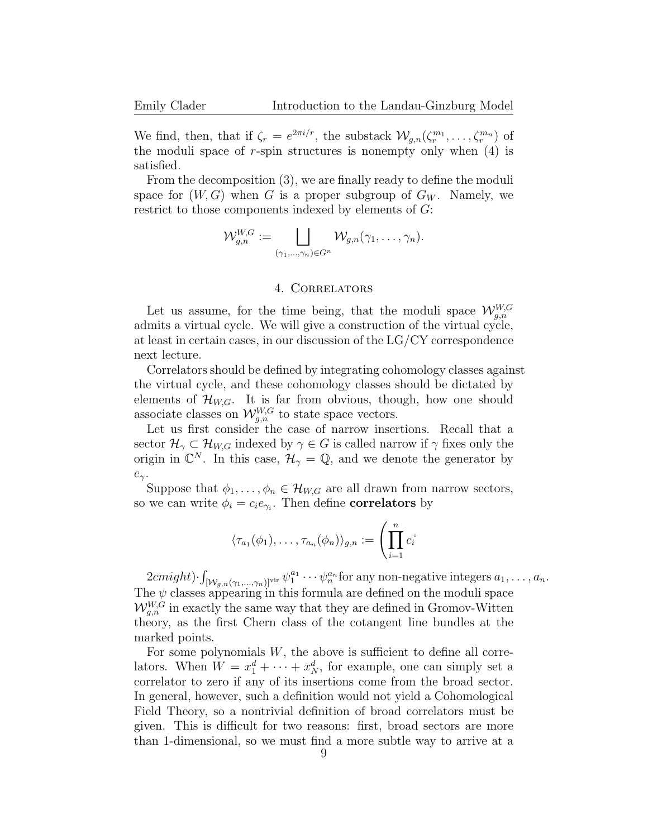We find, then, that if  $\zeta_r = e^{2\pi i/r}$ , the substack  $\mathcal{W}_{g,n}(\zeta_r^{m_1}, \ldots, \zeta_r^{m_n})$  of the moduli space of  $r$ -spin structures is nonempty only when  $(4)$  is satisfied.

From the decomposition (3), we are finally ready to define the moduli space for  $(W, G)$  when G is a proper subgroup of  $G_W$ . Namely, we restrict to those components indexed by elements of G:

$$
\mathcal{W}_{g,n}^{W,G} := \bigsqcup_{(\gamma_1,\ldots,\gamma_n)\in G^n} \mathcal{W}_{g,n}(\gamma_1,\ldots,\gamma_n).
$$

## 4. Correlators

Let us assume, for the time being, that the moduli space  $\mathcal{W}_{g,n}^{W,G}$ admits a virtual cycle. We will give a construction of the virtual cycle, at least in certain cases, in our discussion of the LG/CY correspondence next lecture.

Correlators should be defined by integrating cohomology classes against the virtual cycle, and these cohomology classes should be dictated by elements of  $\mathcal{H}_{W,G}$ . It is far from obvious, though, how one should associate classes on  $\mathcal{W}_{g,n}^{W,G}$  to state space vectors.

Let us first consider the case of narrow insertions. Recall that a sector  $\mathcal{H}_{\gamma} \subset \mathcal{H}_{W,G}$  indexed by  $\gamma \in G$  is called narrow if  $\gamma$  fixes only the origin in  $\mathbb{C}^N$ . In this case,  $\mathcal{H}_{\gamma} = \mathbb{Q}$ , and we denote the generator by  $e_\gamma$ .

Suppose that  $\phi_1, \ldots, \phi_n \in \mathcal{H}_{W,G}$  are all drawn from narrow sectors, so we can write  $\phi_i = c_i e_{\gamma_i}$ . Then define **correlators** by

$$
\langle \tau_{a_1}(\phi_1), \ldots, \tau_{a_n}(\phi_n) \rangle_{g,n} := \left( \prod_{i=1}^n c_i \right)^2
$$

 $2cmight) \cdot \int_{[W_{g,n}(\gamma_1,...,\gamma_n)]^{\text{vir}}} \psi_1^{a_1} \cdots \psi_n^{a_n}$  for any non-negative integers  $a_1,...,a_n$ . The  $\psi$  classes appearing in this formula are defined on the moduli space  $W_{g,n}^{W,G}$  in exactly the same way that they are defined in Gromov-Witten theory, as the first Chern class of the cotangent line bundles at the marked points.

For some polynomials  $W$ , the above is sufficient to define all correlators. When  $W = x_1^d + \cdots + x_N^d$ , for example, one can simply set a correlator to zero if any of its insertions come from the broad sector. In general, however, such a definition would not yield a Cohomological Field Theory, so a nontrivial definition of broad correlators must be given. This is difficult for two reasons: first, broad sectors are more than 1-dimensional, so we must find a more subtle way to arrive at a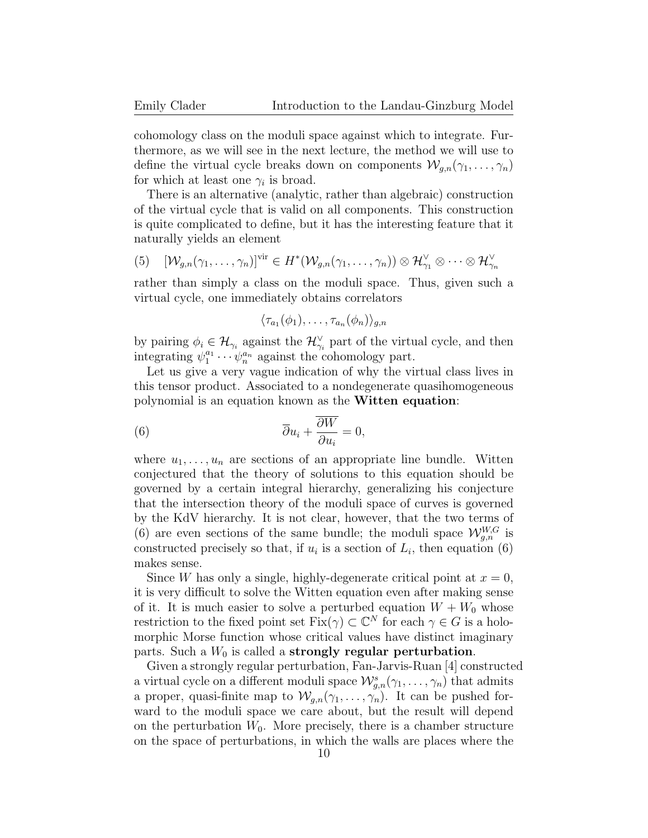cohomology class on the moduli space against which to integrate. Furthermore, as we will see in the next lecture, the method we will use to define the virtual cycle breaks down on components  $\mathcal{W}_{q,n}(\gamma_1,\ldots,\gamma_n)$ for which at least one  $\gamma_i$  is broad.

There is an alternative (analytic, rather than algebraic) construction of the virtual cycle that is valid on all components. This construction is quite complicated to define, but it has the interesting feature that it naturally yields an element

(5) 
$$
[\mathcal{W}_{g,n}(\gamma_1,\ldots,\gamma_n)]^{\text{vir}} \in H^*(\mathcal{W}_{g,n}(\gamma_1,\ldots,\gamma_n)) \otimes \mathcal{H}_{\gamma_1}^{\vee} \otimes \cdots \otimes \mathcal{H}_{\gamma_n}^{\vee}
$$

rather than simply a class on the moduli space. Thus, given such a virtual cycle, one immediately obtains correlators

$$
\langle \tau_{a_1}(\phi_1),\ldots,\tau_{a_n}(\phi_n)\rangle_{g,n}
$$

by pairing  $\phi_i \in \mathcal{H}_{\gamma_i}$  against the  $\mathcal{H}_{\gamma_i}^{\vee}$  part of the virtual cycle, and then integrating  $\psi_1^{a_1} \cdots \psi_n^{a_n}$  against the cohomology part.

Let us give a very vague indication of why the virtual class lives in this tensor product. Associated to a nondegenerate quasihomogeneous polynomial is an equation known as the Witten equation:

(6) 
$$
\overline{\partial} u_i + \frac{\overline{\partial} W}{\partial u_i} = 0,
$$

where  $u_1, \ldots, u_n$  are sections of an appropriate line bundle. Witten conjectured that the theory of solutions to this equation should be governed by a certain integral hierarchy, generalizing his conjecture that the intersection theory of the moduli space of curves is governed by the KdV hierarchy. It is not clear, however, that the two terms of (6) are even sections of the same bundle; the moduli space  $\mathcal{W}_{g,n}^{W,G}$  is constructed precisely so that, if  $u_i$  is a section of  $L_i$ , then equation (6) makes sense.

Since W has only a single, highly-degenerate critical point at  $x = 0$ , it is very difficult to solve the Witten equation even after making sense of it. It is much easier to solve a perturbed equation  $W + W_0$  whose restriction to the fixed point set  $Fix(\gamma) \subset \mathbb{C}^N$  for each  $\gamma \in G$  is a holomorphic Morse function whose critical values have distinct imaginary parts. Such a  $W_0$  is called a strongly regular perturbation.

Given a strongly regular perturbation, Fan-Jarvis-Ruan [4] constructed a virtual cycle on a different moduli space  $\mathcal{W}_{g,n}^s(\gamma_1,\ldots,\gamma_n)$  that admits a proper, quasi-finite map to  $\mathcal{W}_{g,n}(\gamma_1,\ldots,\gamma_n)$ . It can be pushed forward to the moduli space we care about, but the result will depend on the perturbation  $W_0$ . More precisely, there is a chamber structure on the space of perturbations, in which the walls are places where the